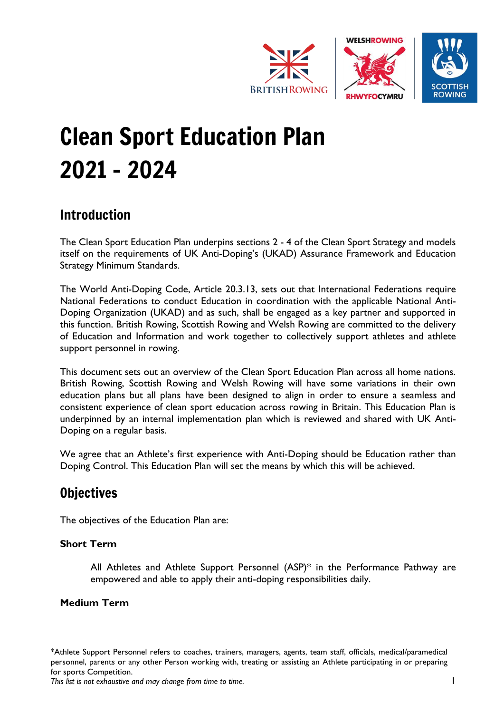

# Clean Sport Education Plan 2021 - 2024

# Introduction

The Clean Sport Education Plan underpins sections 2 - 4 of the Clean Sport Strategy and models itself on the requirements of UK Anti-Doping's (UKAD) Assurance Framework and Education Strategy Minimum Standards.

The World Anti-Doping Code, Article 20.3.13, sets out that International Federations require National Federations to conduct Education in coordination with the applicable National Anti-Doping Organization (UKAD) and as such, shall be engaged as a key partner and supported in this function. British Rowing, Scottish Rowing and Welsh Rowing are committed to the delivery of Education and Information and work together to collectively support athletes and athlete support personnel in rowing.

This document sets out an overview of the Clean Sport Education Plan across all home nations. British Rowing, Scottish Rowing and Welsh Rowing will have some variations in their own education plans but all plans have been designed to align in order to ensure a seamless and consistent experience of clean sport education across rowing in Britain. This Education Plan is underpinned by an internal implementation plan which is reviewed and shared with UK Anti-Doping on a regular basis.

We agree that an Athlete's first experience with Anti-Doping should be Education rather than Doping Control. This Education Plan will set the means by which this will be achieved.

# **Objectives**

The objectives of the Education Plan are:

### **Short Term**

All Athletes and Athlete Support Personnel (ASP)\* in the Performance Pathway are empowered and able to apply their anti-doping responsibilities daily.

### **Medium Term**

\*Athlete Support Personnel refers to coaches, trainers, managers, agents, team staff, officials, medical/paramedical personnel, parents or any other Person working with, treating or assisting an Athlete participating in or preparing for sports Competition.

*This list is not exhaustive and may change from time to time.* 1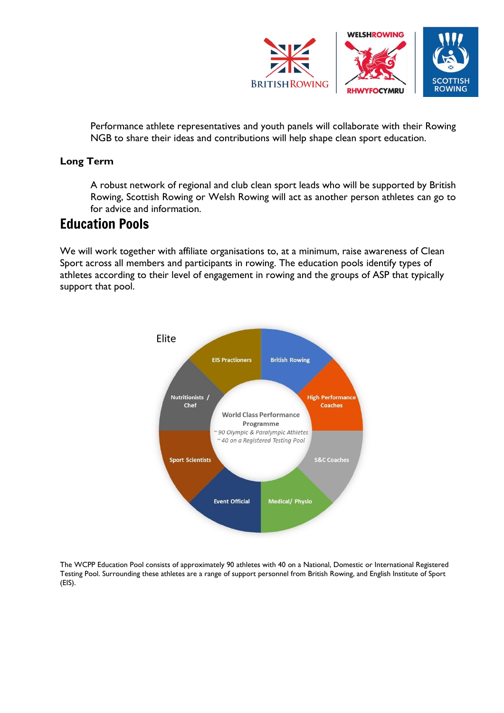

Performance athlete representatives and youth panels will collaborate with their Rowing NGB to share their ideas and contributions will help shape clean sport education.

## **Long Term**

A robust network of regional and club clean sport leads who will be supported by British Rowing, Scottish Rowing or Welsh Rowing will act as another person athletes can go to for advice and information.

## Education Pools

We will work together with affiliate organisations to, at a minimum, raise awareness of Clean Sport across all members and participants in rowing. The education pools identify types of athletes according to their level of engagement in rowing and the groups of ASP that typically support that pool.



The WCPP Education Pool consists of approximately 90 athletes with 40 on a National, Domestic or International Registered Testing Pool. Surrounding these athletes are a range of support personnel from British Rowing, and English Institute of Sport (EIS).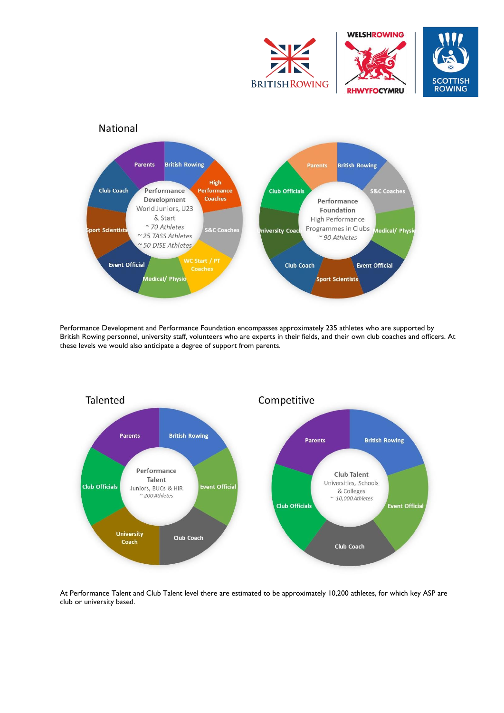



Performance Development and Performance Foundation encompasses approximately 235 athletes who are supported by British Rowing personnel, university staff, volunteers who are experts in their fields, and their own club coaches and officers. At these levels we would also anticipate a degree of support from parents.



At Performance Talent and Club Talent level there are estimated to be approximately 10,200 athletes, for which key ASP are club or university based.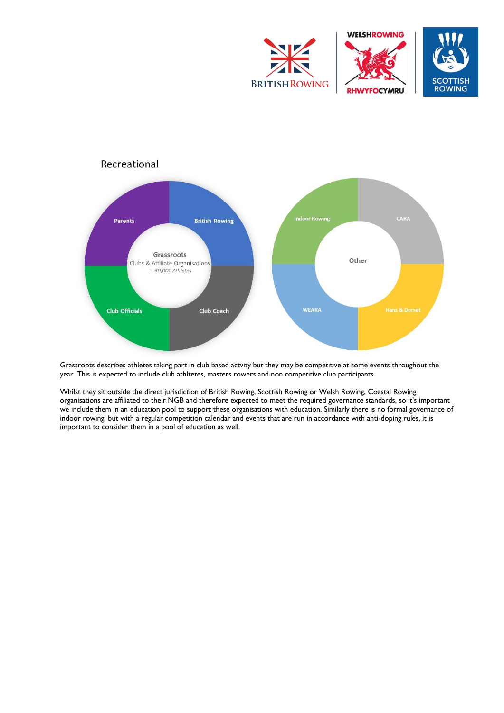



Grassroots describes athletes taking part in club based actvity but they may be competitive at some events throughout the year. This is expected to include club athltetes, masters rowers and non competitive club participants.

Whilst they sit outside the direct jurisdiction of British Rowing, Scottish Rowing or Welsh Rowing, Coastal Rowing organisations are affiliated to their NGB and therefore expected to meet the required governance standards, so it's important we include them in an education pool to support these organisations with education. Similarly there is no formal governance of indoor rowing, but with a regular competition calendar and events that are run in accordance with anti-doping rules, it is important to consider them in a pool of education as well.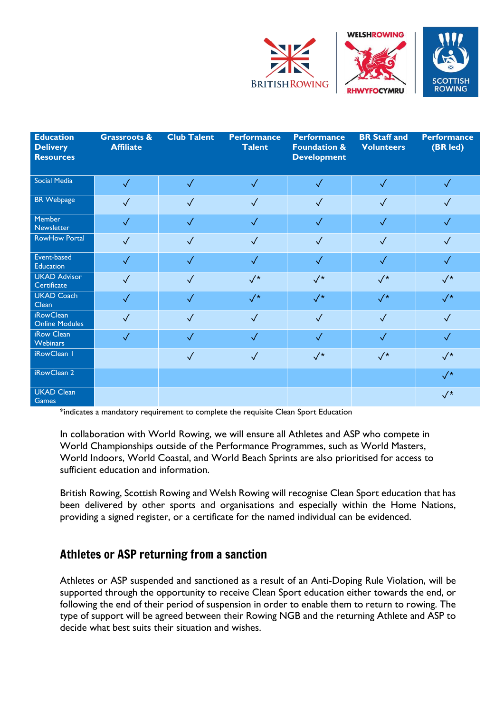

| <b>Education</b><br><b>Delivery</b><br><b>Resources</b> | <b>Grassroots &amp;</b><br><b>Affiliate</b> | <b>Club Talent</b> | <b>Performance</b><br><b>Talent</b> | <b>Performance</b><br><b>Foundation &amp;</b><br><b>Development</b> | <b>BR Staff and</b><br><b>Volunteers</b> | <b>Performance</b><br>(BR led) |
|---------------------------------------------------------|---------------------------------------------|--------------------|-------------------------------------|---------------------------------------------------------------------|------------------------------------------|--------------------------------|
| Social Media                                            | $\sqrt{}$                                   | $\checkmark$       | $\checkmark$                        | $\checkmark$                                                        | $\sqrt{}$                                | $\checkmark$                   |
| <b>BR</b> Webpage                                       | $\sqrt{}$                                   | $\checkmark$       | $\sqrt{}$                           | $\sqrt{}$                                                           | $\checkmark$                             | $\checkmark$                   |
| Member<br>Newsletter                                    | $\checkmark$                                | $\sqrt{}$          | $\checkmark$                        | $\checkmark$                                                        | $\checkmark$                             | $\checkmark$                   |
| <b>RowHow Portal</b>                                    | $\checkmark$                                | $\sqrt{}$          | $\checkmark$                        | $\checkmark$                                                        | $\sqrt{}$                                | $\checkmark$                   |
| Event-based<br><b>Education</b>                         | $\checkmark$                                | $\checkmark$       | $\sqrt{}$                           | $\checkmark$                                                        | $\sqrt{}$                                | $\checkmark$                   |
| <b>UKAD Advisor</b><br>Certificate                      | $\sqrt{}$                                   | $\sqrt{}$          | $\sqrt{*}$                          | $\sqrt{*}$                                                          | $\sqrt{*}$                               | $\sqrt{*}$                     |
| <b>UKAD Coach</b><br>Clean                              | $\sqrt{}$                                   | $\checkmark$       | $\sqrt{*}$                          | $\sqrt{*}$                                                          | $\sqrt{\star}$                           | $\sqrt{*}$                     |
| <b>iRowClean</b><br><b>Online Modules</b>               | $\checkmark$                                | $\checkmark$       | $\sqrt{}$                           | $\checkmark$                                                        | $\checkmark$                             | $\sqrt{}$                      |
| iRow Clean<br><b>Webinars</b>                           | $\checkmark$                                | $\checkmark$       | $\checkmark$                        | $\checkmark$                                                        | $\sqrt{}$                                | $\checkmark$                   |
| iRowClean 1                                             |                                             | $\sqrt{}$          | $\sqrt{}$                           | $\sqrt{*}$                                                          | $\sqrt{*}$                               | $\sqrt{*}$                     |
| iRowClean 2                                             |                                             |                    |                                     |                                                                     |                                          | $\sqrt{*}$                     |
| <b>UKAD Clean</b><br>Games                              |                                             |                    |                                     |                                                                     |                                          | $\sqrt{*}$                     |

\*indicates a mandatory requirement to complete the requisite Clean Sport Education

In collaboration with World Rowing, we will ensure all Athletes and ASP who compete in World Championships outside of the Performance Programmes, such as World Masters, World Indoors, World Coastal, and World Beach Sprints are also prioritised for access to sufficient education and information.

British Rowing, Scottish Rowing and Welsh Rowing will recognise Clean Sport education that has been delivered by other sports and organisations and especially within the Home Nations, providing a signed register, or a certificate for the named individual can be evidenced.

## Athletes or ASP returning from a sanction

Athletes or ASP suspended and sanctioned as a result of an Anti-Doping Rule Violation, will be supported through the opportunity to receive Clean Sport education either towards the end, or following the end of their period of suspension in order to enable them to return to rowing. The type of support will be agreed between their Rowing NGB and the returning Athlete and ASP to decide what best suits their situation and wishes.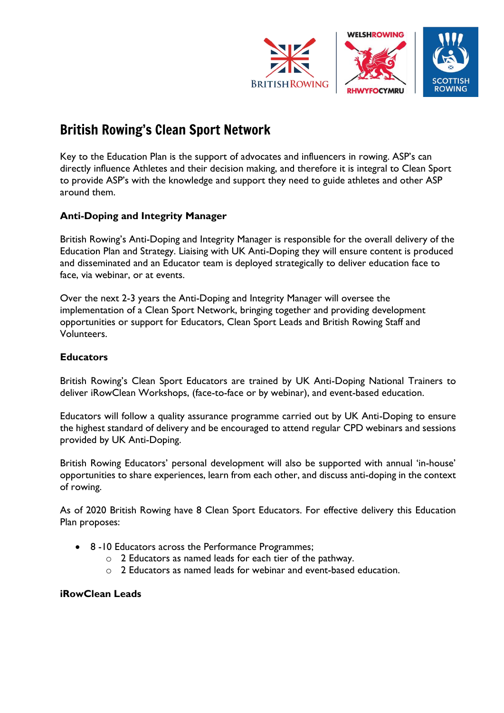

# British Rowing's Clean Sport Network

Key to the Education Plan is the support of advocates and influencers in rowing. ASP's can directly influence Athletes and their decision making, and therefore it is integral to Clean Sport to provide ASP's with the knowledge and support they need to guide athletes and other ASP around them.

## **Anti-Doping and Integrity Manager**

British Rowing's Anti-Doping and Integrity Manager is responsible for the overall delivery of the Education Plan and Strategy. Liaising with UK Anti-Doping they will ensure content is produced and disseminated and an Educator team is deployed strategically to deliver education face to face, via webinar, or at events.

Over the next 2-3 years the Anti-Doping and Integrity Manager will oversee the implementation of a Clean Sport Network, bringing together and providing development opportunities or support for Educators, Clean Sport Leads and British Rowing Staff and Volunteers.

#### **Educators**

British Rowing's Clean Sport Educators are trained by UK Anti-Doping National Trainers to deliver iRowClean Workshops, (face-to-face or by webinar), and event-based education.

Educators will follow a quality assurance programme carried out by UK Anti-Doping to ensure the highest standard of delivery and be encouraged to attend regular CPD webinars and sessions provided by UK Anti-Doping.

British Rowing Educators' personal development will also be supported with annual 'in-house' opportunities to share experiences, learn from each other, and discuss anti-doping in the context of rowing.

As of 2020 British Rowing have 8 Clean Sport Educators. For effective delivery this Education Plan proposes:

- 8 -10 Educators across the Performance Programmes;
	- o 2 Educators as named leads for each tier of the pathway.
	- o 2 Educators as named leads for webinar and event-based education.

#### **iRowClean Leads**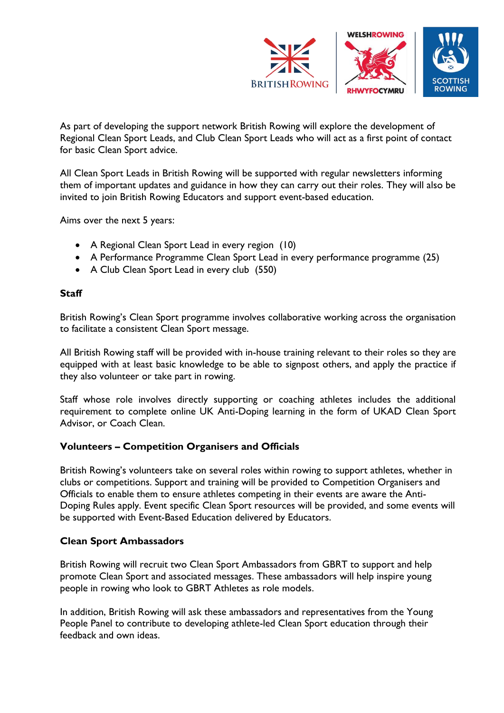

As part of developing the support network British Rowing will explore the development of Regional Clean Sport Leads, and Club Clean Sport Leads who will act as a first point of contact for basic Clean Sport advice.

All Clean Sport Leads in British Rowing will be supported with regular newsletters informing them of important updates and guidance in how they can carry out their roles. They will also be invited to join British Rowing Educators and support event-based education.

Aims over the next 5 years:

- A Regional Clean Sport Lead in every region (10)
- A Performance Programme Clean Sport Lead in every performance programme (25)
- A Club Clean Sport Lead in every club (550)

### **Staff**

British Rowing's Clean Sport programme involves collaborative working across the organisation to facilitate a consistent Clean Sport message.

All British Rowing staff will be provided with in-house training relevant to their roles so they are equipped with at least basic knowledge to be able to signpost others, and apply the practice if they also volunteer or take part in rowing.

Staff whose role involves directly supporting or coaching athletes includes the additional requirement to complete online UK Anti-Doping learning in the form of UKAD Clean Sport Advisor, or Coach Clean.

### **Volunteers – Competition Organisers and Officials**

British Rowing's volunteers take on several roles within rowing to support athletes, whether in clubs or competitions. Support and training will be provided to Competition Organisers and Officials to enable them to ensure athletes competing in their events are aware the Anti-Doping Rules apply. Event specific Clean Sport resources will be provided, and some events will be supported with Event-Based Education delivered by Educators.

### **Clean Sport Ambassadors**

British Rowing will recruit two Clean Sport Ambassadors from GBRT to support and help promote Clean Sport and associated messages. These ambassadors will help inspire young people in rowing who look to GBRT Athletes as role models.

In addition, British Rowing will ask these ambassadors and representatives from the Young People Panel to contribute to developing athlete-led Clean Sport education through their feedback and own ideas.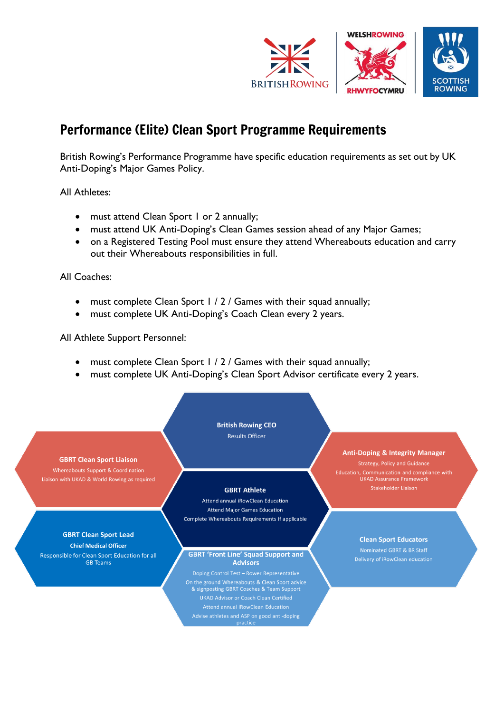

# Performance (Elite) Clean Sport Programme Requirements

British Rowing's Performance Programme have specific education requirements as set out by UK Anti-Doping's Major Games Policy.

All Athletes:

- must attend Clean Sport 1 or 2 annually;
- must attend UK Anti-Doping's Clean Games session ahead of any Major Games;
- on a Registered Testing Pool must ensure they attend Whereabouts education and carry out their Whereabouts responsibilities in full.

All Coaches:

- must complete Clean Sport 1 / 2 / Games with their squad annually;
- must complete UK Anti-Doping's Coach Clean every 2 years.

All Athlete Support Personnel:

- must complete Clean Sport 1 / 2 / Games with their squad annually;
- must complete UK Anti-Doping's Clean Sport Advisor certificate every 2 years.

**British Rowing CEO Results Officer** 

#### **GBRT Clean Sport Liaison**

Whereabouts Support & Coordination Liaison with UKAD & World Rowing as required

## **GBRT Clean Sport Lead**

**Chief Medical Officer** Responsible for Clean Sport Education for all **GB** Teams

#### **GBRT Athlete**

Attend annual iRowClean Education **Attend Major Games Education** Complete Whereabouts Requirements if applicable

#### **GBRT 'Front Line' Squad Support and Advisors**

Doping Control Test - Rower Representative On the ground Whereabouts & Clean Sport advice & signposting GBRT Coaches & Team Support Attend annual iRowClean Education

#### **Anti-Doping & Integrity Manager**

**Strategy, Policy and Guidance** Education, Communication and compliance with<br>UKAD Assurance Framework Stakeholder Liaison

#### **Clean Sport Educators**

Nominated GBRT & BR Staff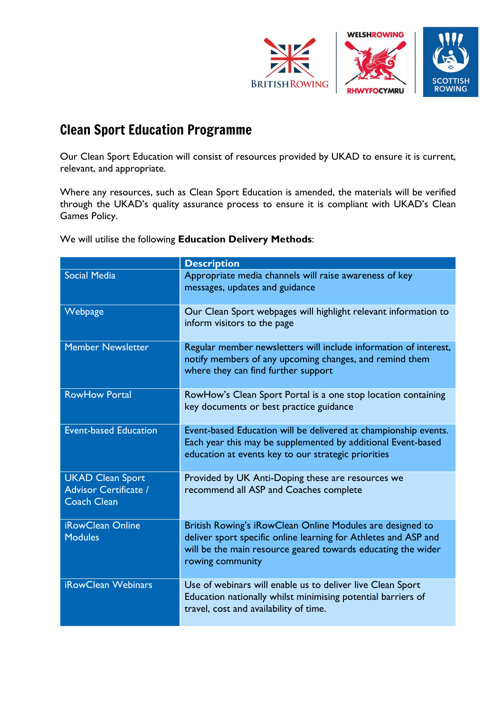

# Clean Sport Education Programme

Our Clean Sport Education will consist of resources provided by UKAD to ensure it is current, relevant, and appropriate.

Where any resources, such as Clean Sport Education is amended, the materials will be verified through the UKAD's quality assurance process to ensure it is compliant with UKAD's Clean Games Policy.

We will utilise the following **Education Delivery Methods**:

|                                                                        | <b>Description</b>                                                                                                                                                                                               |  |
|------------------------------------------------------------------------|------------------------------------------------------------------------------------------------------------------------------------------------------------------------------------------------------------------|--|
| <b>Social Media</b>                                                    | Appropriate media channels will raise awareness of key<br>messages, updates and guidance                                                                                                                         |  |
| Webpage                                                                | Our Clean Sport webpages will highlight relevant information to<br>inform visitors to the page                                                                                                                   |  |
| <b>Member Newsletter</b>                                               | Regular member newsletters will include information of interest,<br>notify members of any upcoming changes, and remind them<br>where they can find further support                                               |  |
| <b>RowHow Portal</b>                                                   | RowHow's Clean Sport Portal is a one stop location containing<br>key documents or best practice guidance                                                                                                         |  |
| <b>Event-based Education</b>                                           | Event-based Education will be delivered at championship events.<br>Each year this may be supplemented by additional Event-based<br>education at events key to our strategic priorities                           |  |
| <b>UKAD Clean Sport</b><br>Advisor Certificate /<br><b>Coach Clean</b> | Provided by UK Anti-Doping these are resources we<br>recommend all ASP and Coaches complete                                                                                                                      |  |
| iRowClean Online<br><b>Modules</b>                                     | British Rowing's iRowClean Online Modules are designed to<br>deliver sport specific online learning for Athletes and ASP and<br>will be the main resource geared towards educating the wider<br>rowing community |  |
| <b>iRowClean Webinars</b>                                              | Use of webinars will enable us to deliver live Clean Sport<br>Education nationally whilst minimising potential barriers of<br>travel, cost and availability of time.                                             |  |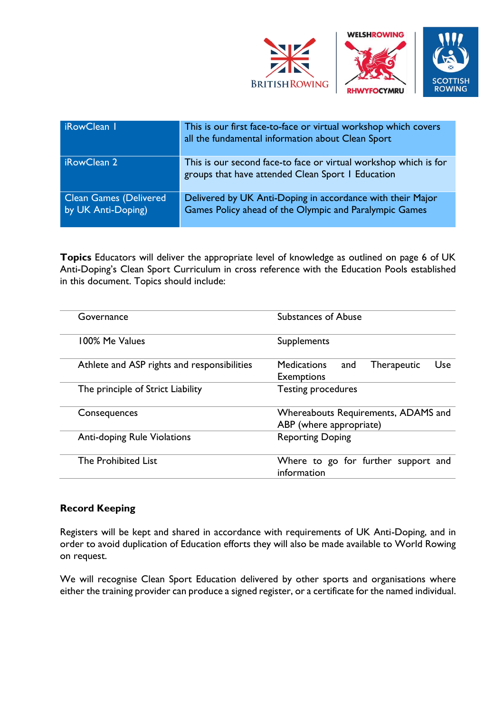

| iRowClean I                                         | This is our first face-to-face or virtual workshop which covers<br>all the fundamental information about Clean Sport  |
|-----------------------------------------------------|-----------------------------------------------------------------------------------------------------------------------|
| iRowClean 2                                         | This is our second face-to face or virtual workshop which is for<br>groups that have attended Clean Sport I Education |
| <b>Clean Games (Delivered</b><br>by UK Anti-Doping) | Delivered by UK Anti-Doping in accordance with their Major<br>Games Policy ahead of the Olympic and Paralympic Games  |

**Topics** Educators will deliver the appropriate level of knowledge as outlined on page 6 of UK Anti-Doping's Clean Sport Curriculum in cross reference with the Education Pools established in this document. Topics should include:

| Governance                                  | <b>Substances of Abuse</b>                                                  |  |  |  |
|---------------------------------------------|-----------------------------------------------------------------------------|--|--|--|
| 100% Me Values                              | Supplements                                                                 |  |  |  |
| Athlete and ASP rights and responsibilities | Use<br><b>Medications</b><br><b>Therapeutic</b><br>and<br><b>Exemptions</b> |  |  |  |
| The principle of Strict Liability           | Testing procedures                                                          |  |  |  |
| Consequences                                | Whereabouts Requirements, ADAMS and<br>ABP (where appropriate)              |  |  |  |
| <b>Anti-doping Rule Violations</b>          | <b>Reporting Doping</b>                                                     |  |  |  |
| The Prohibited List                         | Where to go for further support and<br>information                          |  |  |  |

## **Record Keeping**

Registers will be kept and shared in accordance with requirements of UK Anti-Doping, and in order to avoid duplication of Education efforts they will also be made available to World Rowing on request.

We will recognise Clean Sport Education delivered by other sports and organisations where either the training provider can produce a signed register, or a certificate for the named individual.